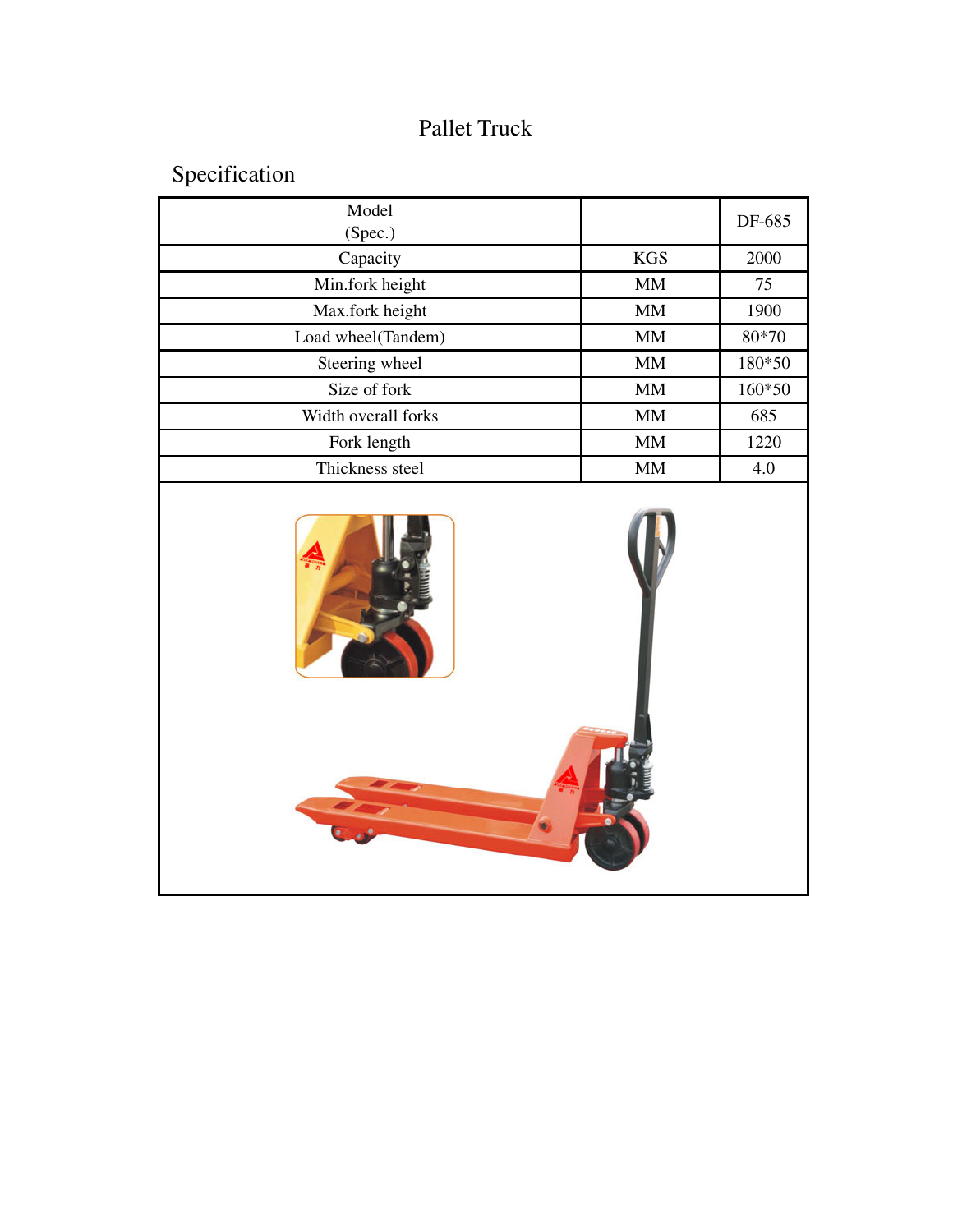## Pallet Truck

Specification

| Model<br>(Spec.)    |            | DF-685 |
|---------------------|------------|--------|
| Capacity            | <b>KGS</b> | 2000   |
| Min.fork height     | <b>MM</b>  | 75     |
| Max.fork height     | <b>MM</b>  | 1900   |
| Load wheel(Tandem)  | <b>MM</b>  | 80*70  |
| Steering wheel      | MМ         | 180*50 |
| Size of fork        | <b>MM</b>  | 160*50 |
| Width overall forks | MМ         | 685    |
| Fork length         | <b>MM</b>  | 1220   |
| Thickness steel     | <b>MM</b>  | 4.0    |

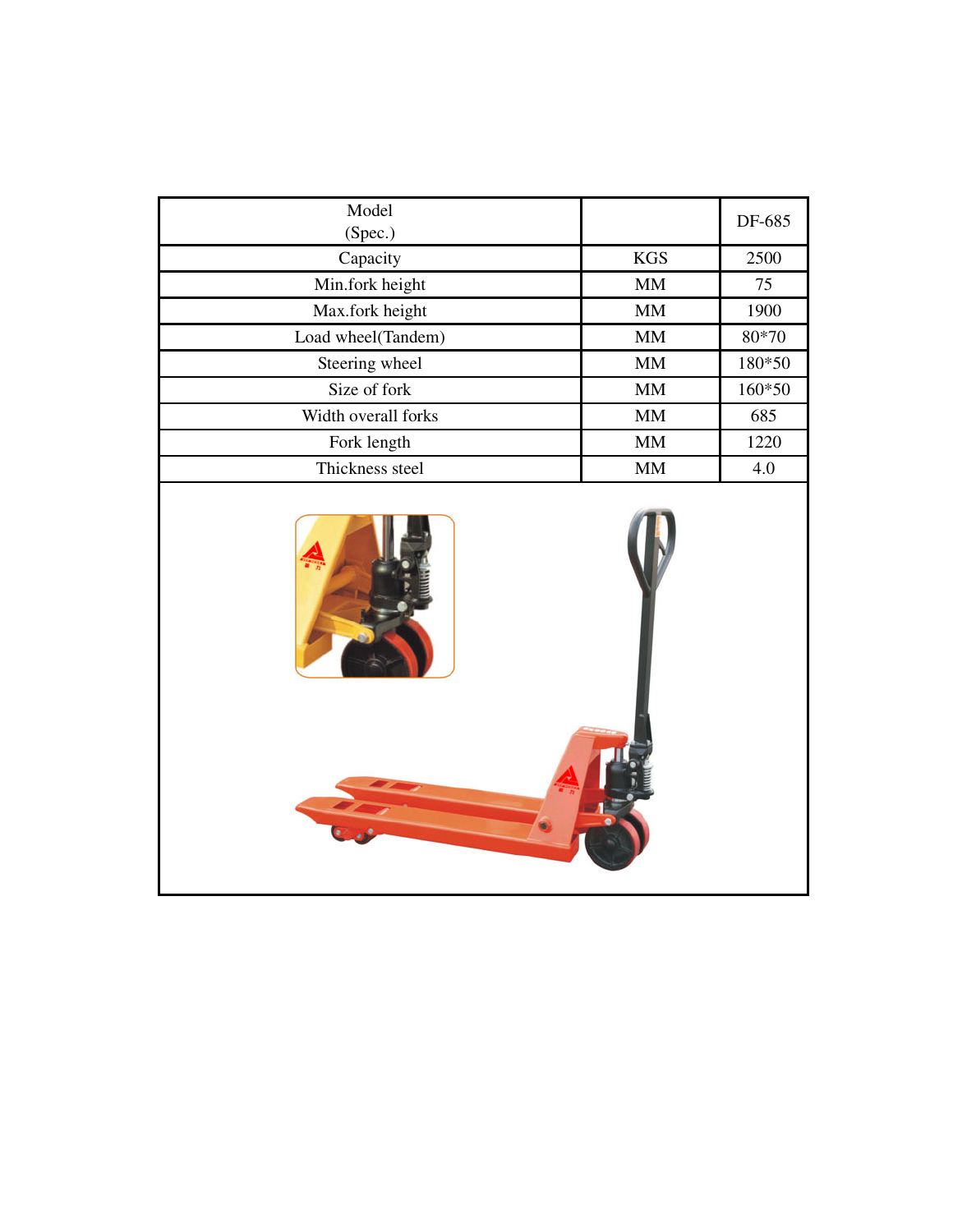| Model<br>(Spec.)    |            | DF-685 |
|---------------------|------------|--------|
| Capacity            | <b>KGS</b> | 2500   |
| Min.fork height     | <b>MM</b>  | 75     |
| Max.fork height     | <b>MM</b>  | 1900   |
| Load wheel(Tandem)  | <b>MM</b>  | 80*70  |
| Steering wheel      | <b>MM</b>  | 180*50 |
| Size of fork        | <b>MM</b>  | 160*50 |
| Width overall forks | <b>MM</b>  | 685    |
| Fork length         | <b>MM</b>  | 1220   |
| Thickness steel     | <b>MM</b>  | 4.0    |

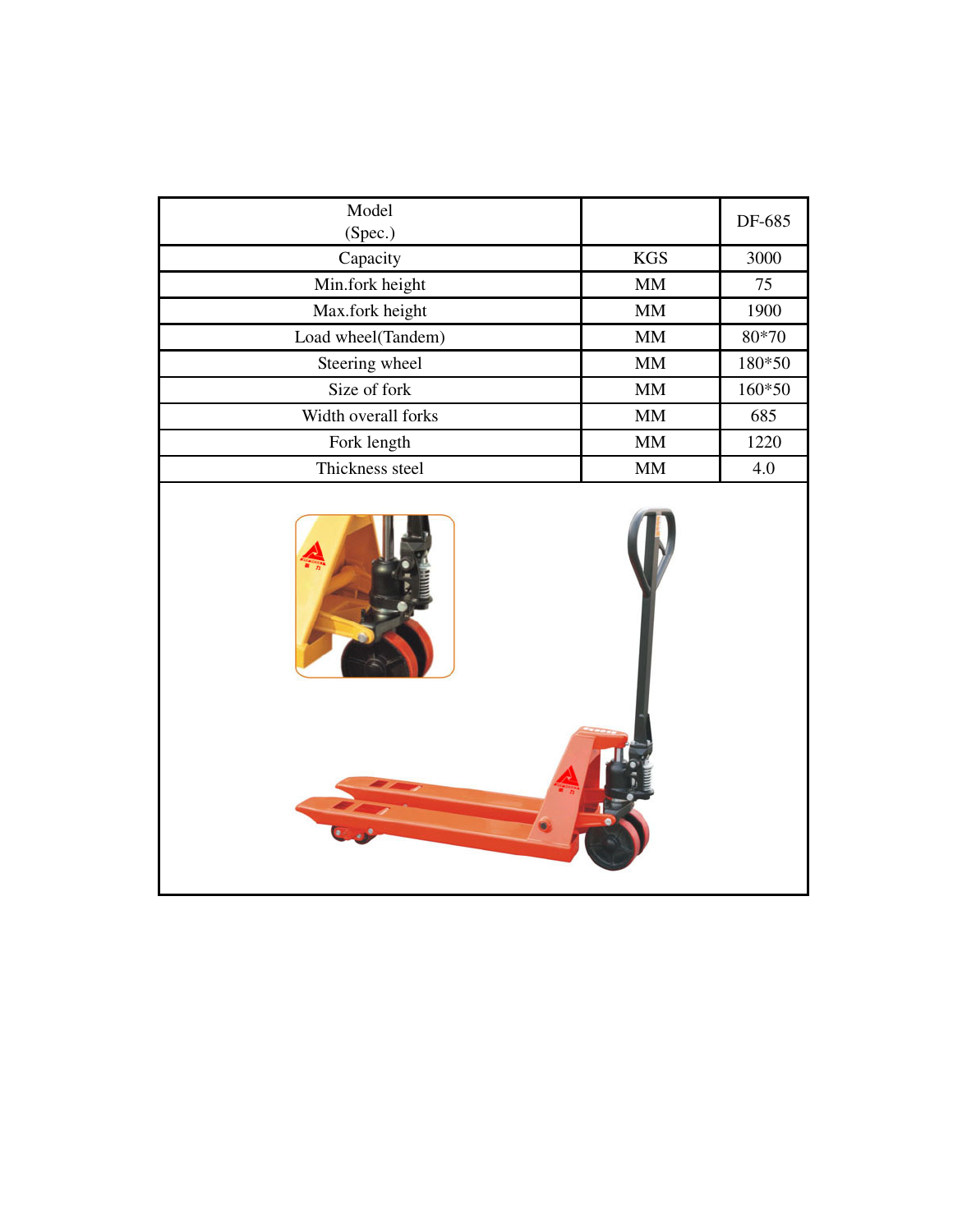| Model<br>(Spec.)    |            | DF-685 |
|---------------------|------------|--------|
| Capacity            | <b>KGS</b> | 3000   |
| Min.fork height     | <b>MM</b>  | 75     |
| Max.fork height     | <b>MM</b>  | 1900   |
| Load wheel(Tandem)  | <b>MM</b>  | 80*70  |
| Steering wheel      | <b>MM</b>  | 180*50 |
| Size of fork        | <b>MM</b>  | 160*50 |
| Width overall forks | <b>MM</b>  | 685    |
| Fork length         | <b>MM</b>  | 1220   |
| Thickness steel     | <b>MM</b>  | 4.0    |

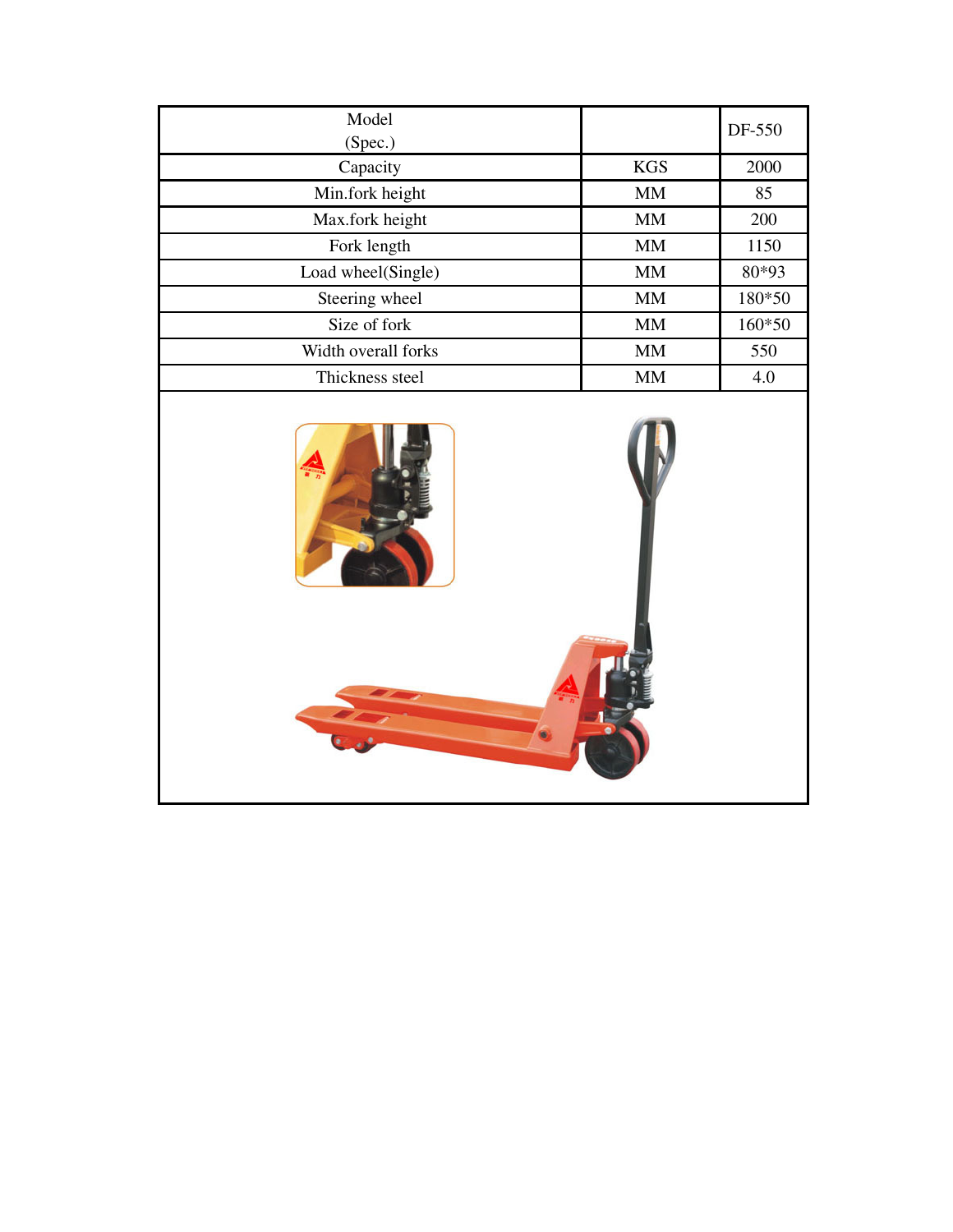| Model<br>(Spec.)    |            | DF-550 |
|---------------------|------------|--------|
| Capacity            | <b>KGS</b> | 2000   |
| Min.fork height     | <b>MM</b>  | 85     |
| Max.fork height     | <b>MM</b>  | 200    |
| Fork length         | <b>MM</b>  | 1150   |
| Load wheel(Single)  | <b>MM</b>  | 80*93  |
| Steering wheel      | <b>MM</b>  | 180*50 |
| Size of fork        | <b>MM</b>  | 160*50 |
| Width overall forks | <b>MM</b>  | 550    |
| Thickness steel     | <b>MM</b>  | 4.0    |

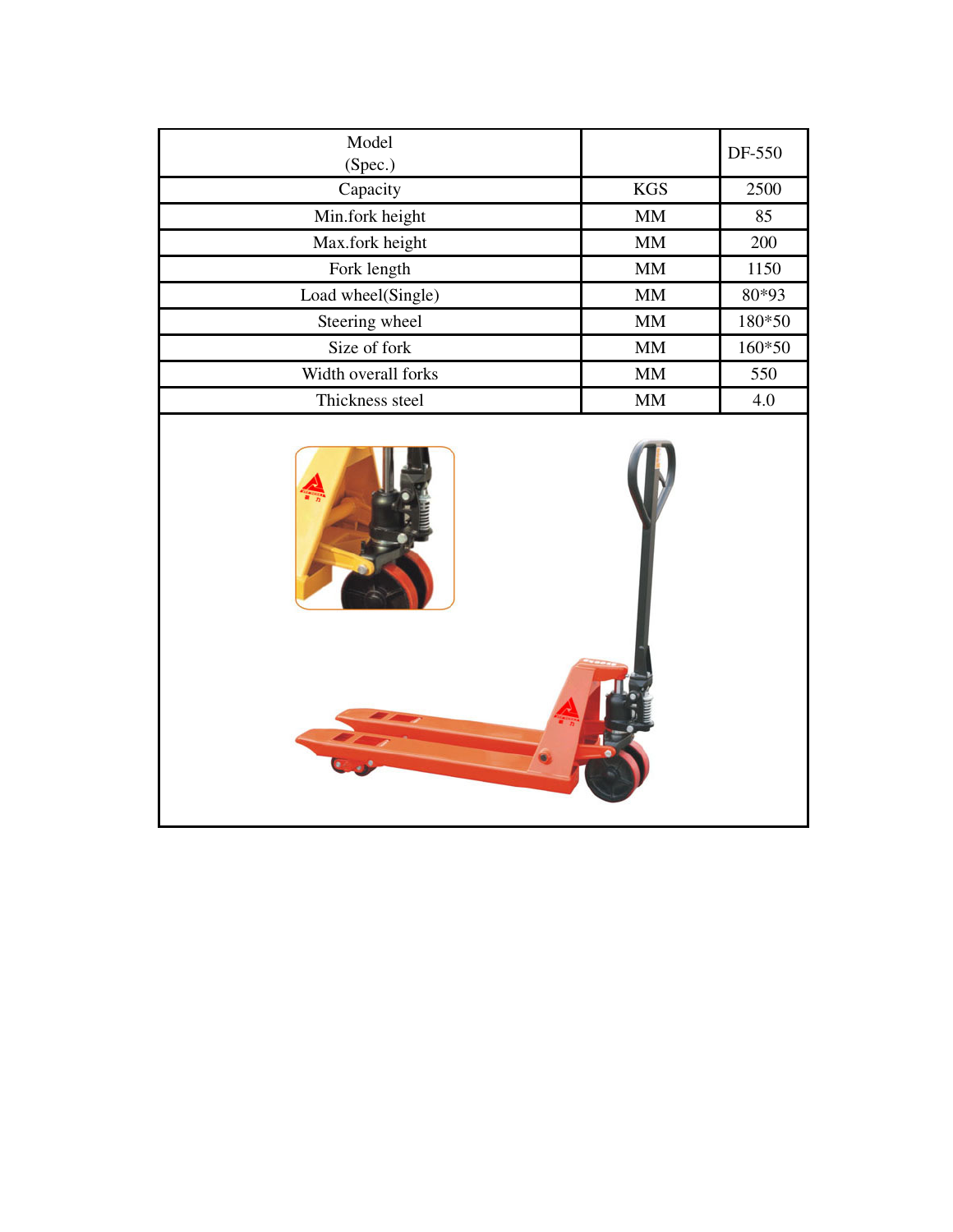| Model<br>(Spec.)    |            | DF-550 |
|---------------------|------------|--------|
| Capacity            | <b>KGS</b> | 2500   |
| Min.fork height     | <b>MM</b>  | 85     |
| Max.fork height     | <b>MM</b>  | 200    |
| Fork length         | <b>MM</b>  | 1150   |
| Load wheel(Single)  | <b>MM</b>  | 80*93  |
| Steering wheel      | <b>MM</b>  | 180*50 |
| Size of fork        | <b>MM</b>  | 160*50 |
| Width overall forks | <b>MM</b>  | 550    |
| Thickness steel     | <b>MM</b>  | 4.0    |

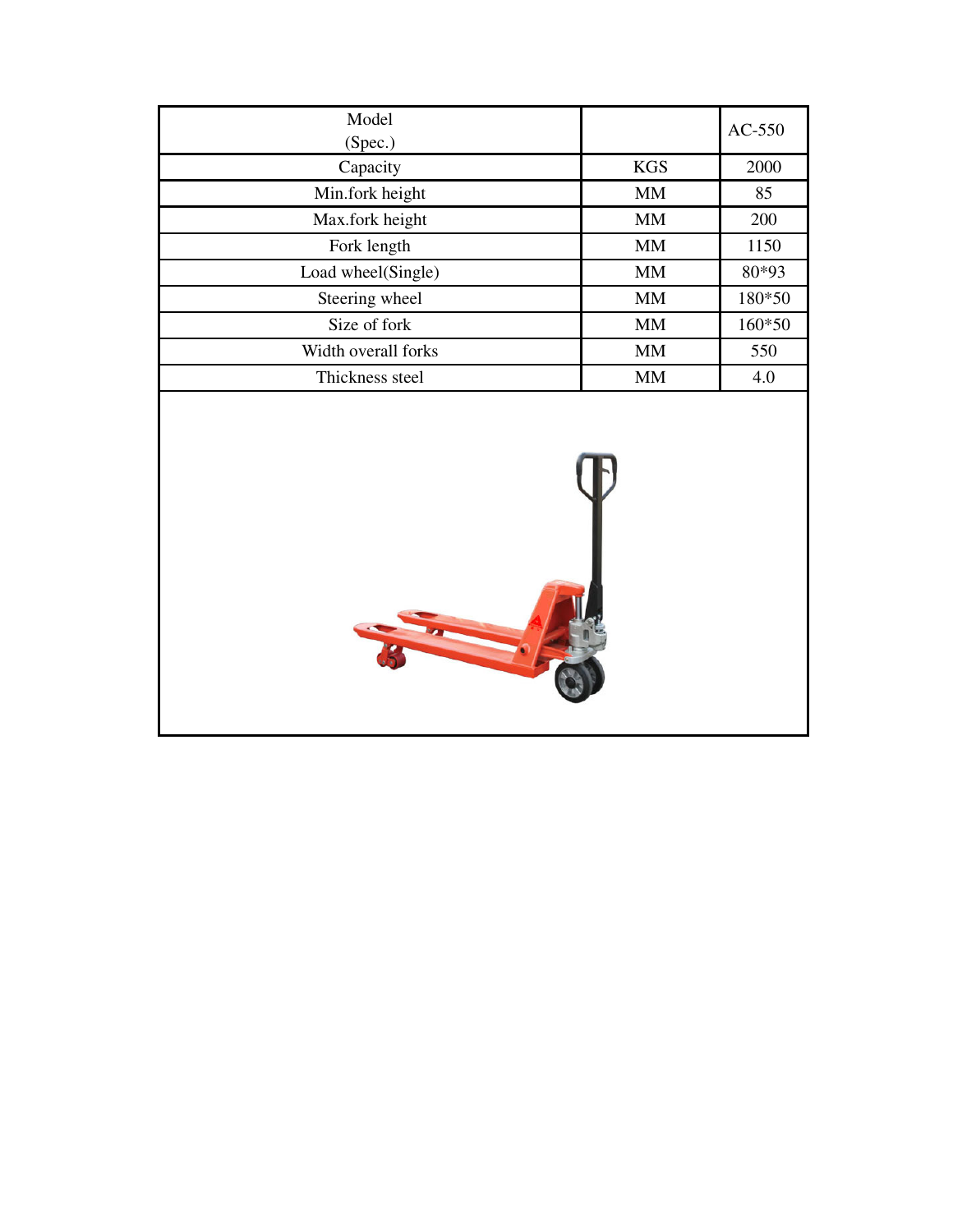| Model<br>(Spec.)    |            | $AC-550$ |
|---------------------|------------|----------|
| Capacity            | <b>KGS</b> | 2000     |
| Min.fork height     | <b>MM</b>  | 85       |
| Max.fork height     | <b>MM</b>  | 200      |
| Fork length         | <b>MM</b>  | 1150     |
| Load wheel(Single)  | <b>MM</b>  | 80*93    |
| Steering wheel      | <b>MM</b>  | 180*50   |
| Size of fork        | <b>MM</b>  | 160*50   |
| Width overall forks | <b>MM</b>  | 550      |
| Thickness steel     | <b>MM</b>  | 4.0      |

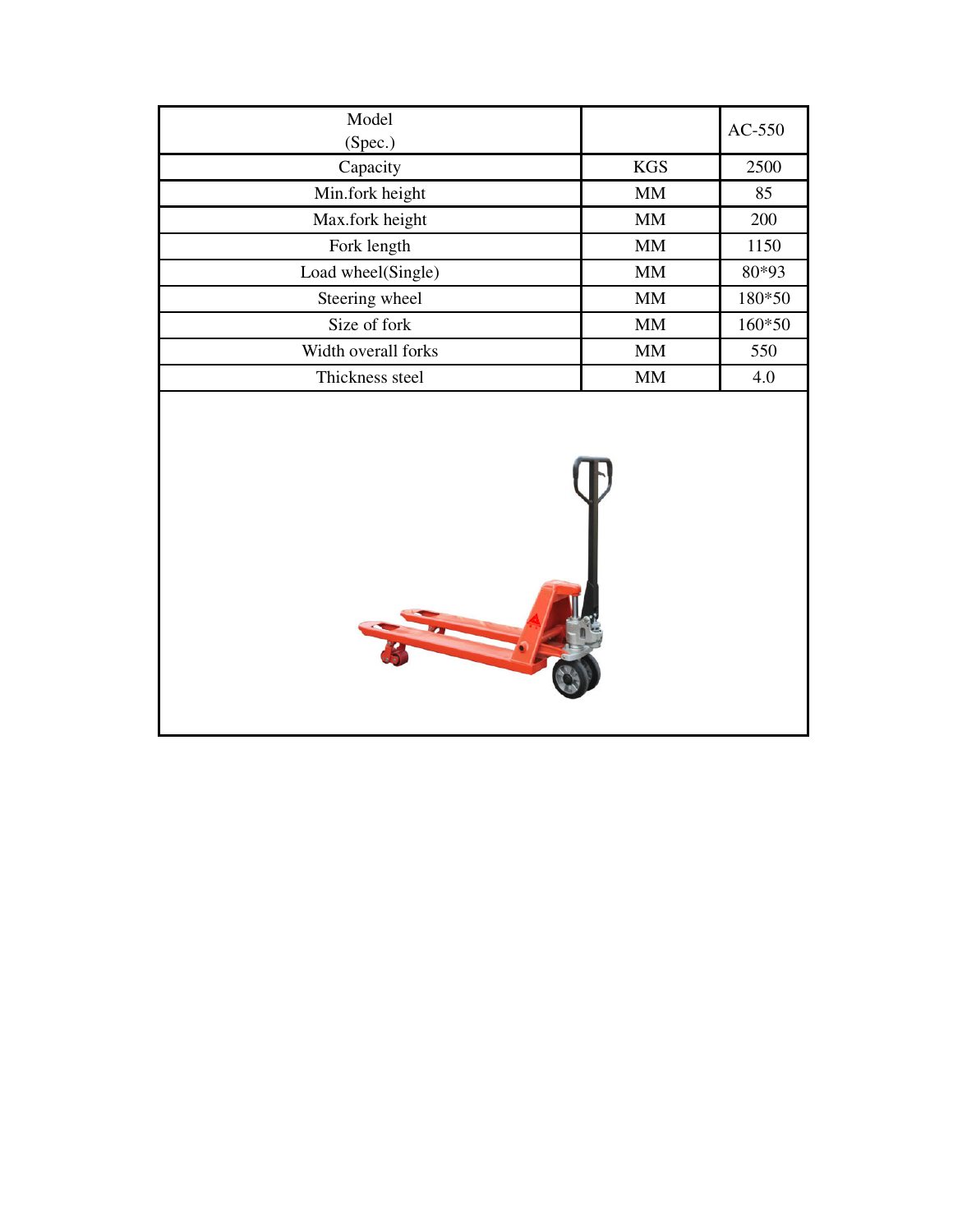| Model<br>(Spec.)    |            | $AC-550$ |
|---------------------|------------|----------|
| Capacity            | <b>KGS</b> | 2500     |
| Min.fork height     | <b>MM</b>  | 85       |
| Max.fork height     | <b>MM</b>  | 200      |
| Fork length         | <b>MM</b>  | 1150     |
| Load wheel(Single)  | <b>MM</b>  | 80*93    |
| Steering wheel      | <b>MM</b>  | 180*50   |
| Size of fork        | <b>MM</b>  | 160*50   |
| Width overall forks | <b>MM</b>  | 550      |
| Thickness steel     | <b>MM</b>  | 4.0      |

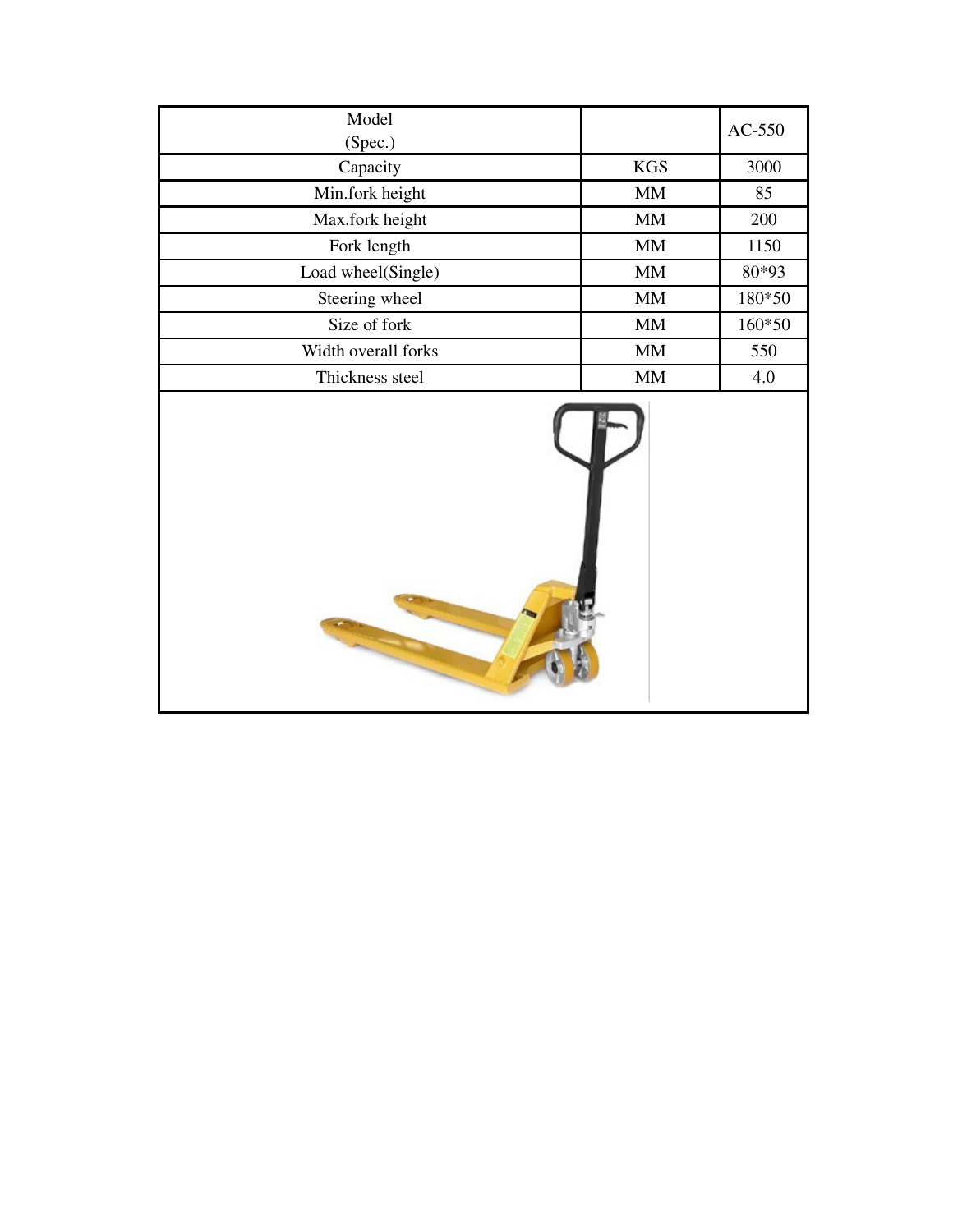| Model<br>(Spec.)    |                        | $AC-550$ |
|---------------------|------------------------|----------|
| Capacity            | <b>KGS</b>             | 3000     |
| Min.fork height     | $\mathop{\rm MM}$      | 85       |
| Max.fork height     | $\mbox{MM}$            | 200      |
| Fork length         | $\mathbf{M}\mathbf{M}$ | 1150     |
| Load wheel(Single)  | $\mbox{MM}$            | 80*93    |
| Steering wheel      | $\mbox{MM}$            | 180*50   |
| Size of fork        | $\mathbf{M}\mathbf{M}$ | 160*50   |
| Width overall forks | MM                     | 550      |
| Thickness steel     | $\mbox{MM}$            | 4.0      |
|                     |                        |          |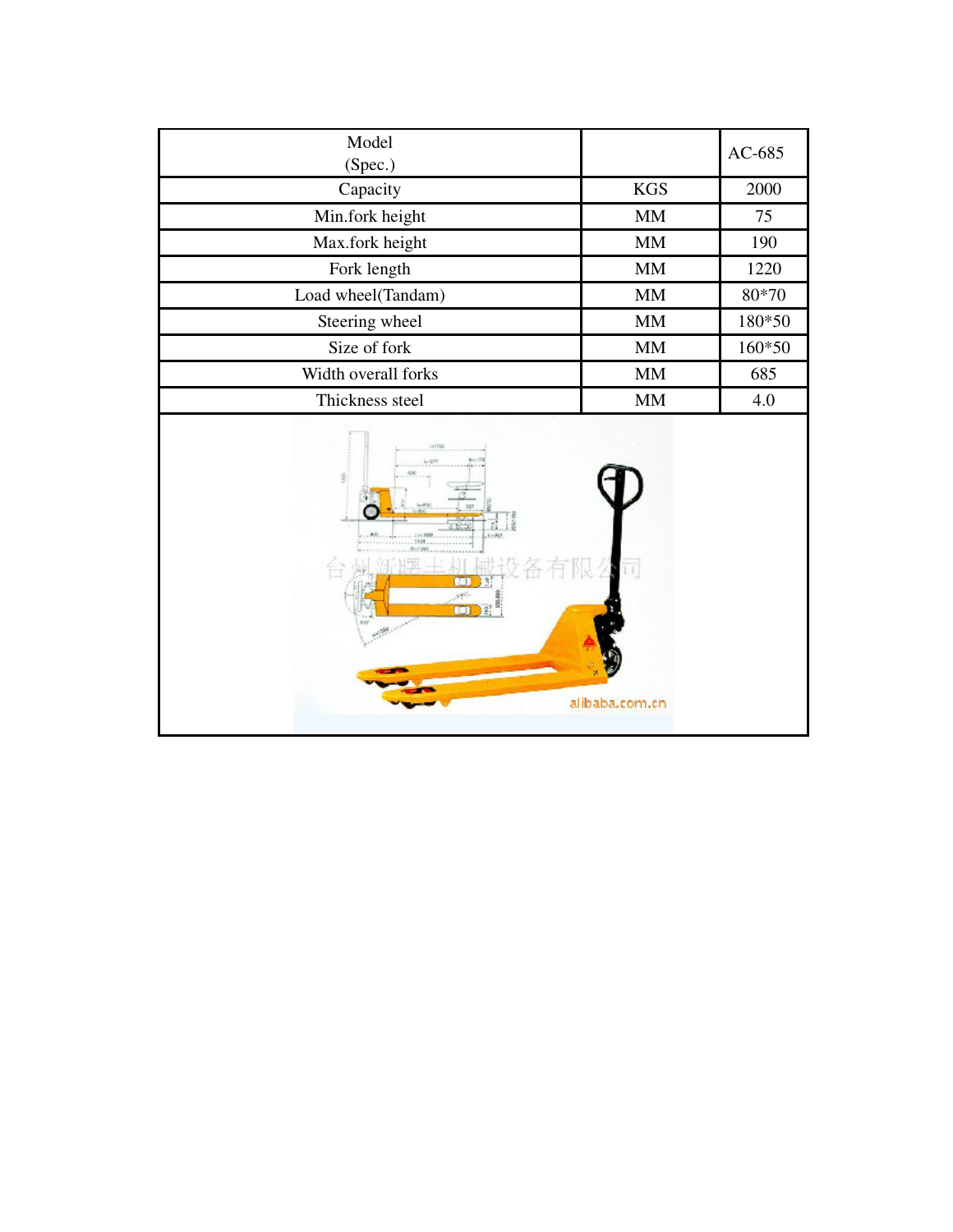| Model<br>(Spec.)                                                    |               | AC-685 |
|---------------------------------------------------------------------|---------------|--------|
| Capacity                                                            | <b>KGS</b>    | 2000   |
| Min.fork height                                                     | MM            | 75     |
| Max.fork height                                                     | MM            | 190    |
| Fork length                                                         | <b>MM</b>     | 1220   |
| Load wheel(Tandam)                                                  | $\text{MM}{}$ | 80*70  |
| Steering wheel                                                      | $\text{MM}{}$ | 180*50 |
| Size of fork                                                        | $\mbox{MM}$   | 160*50 |
| Width overall forks                                                 | $\mbox{MM}$   | 685    |
| Thickness steel                                                     | MM            | 4.0    |
| 141199<br>$1 - 977$<br>214,823<br>米<br><b>FED</b><br>Million of the |               |        |

alibaba.com.cn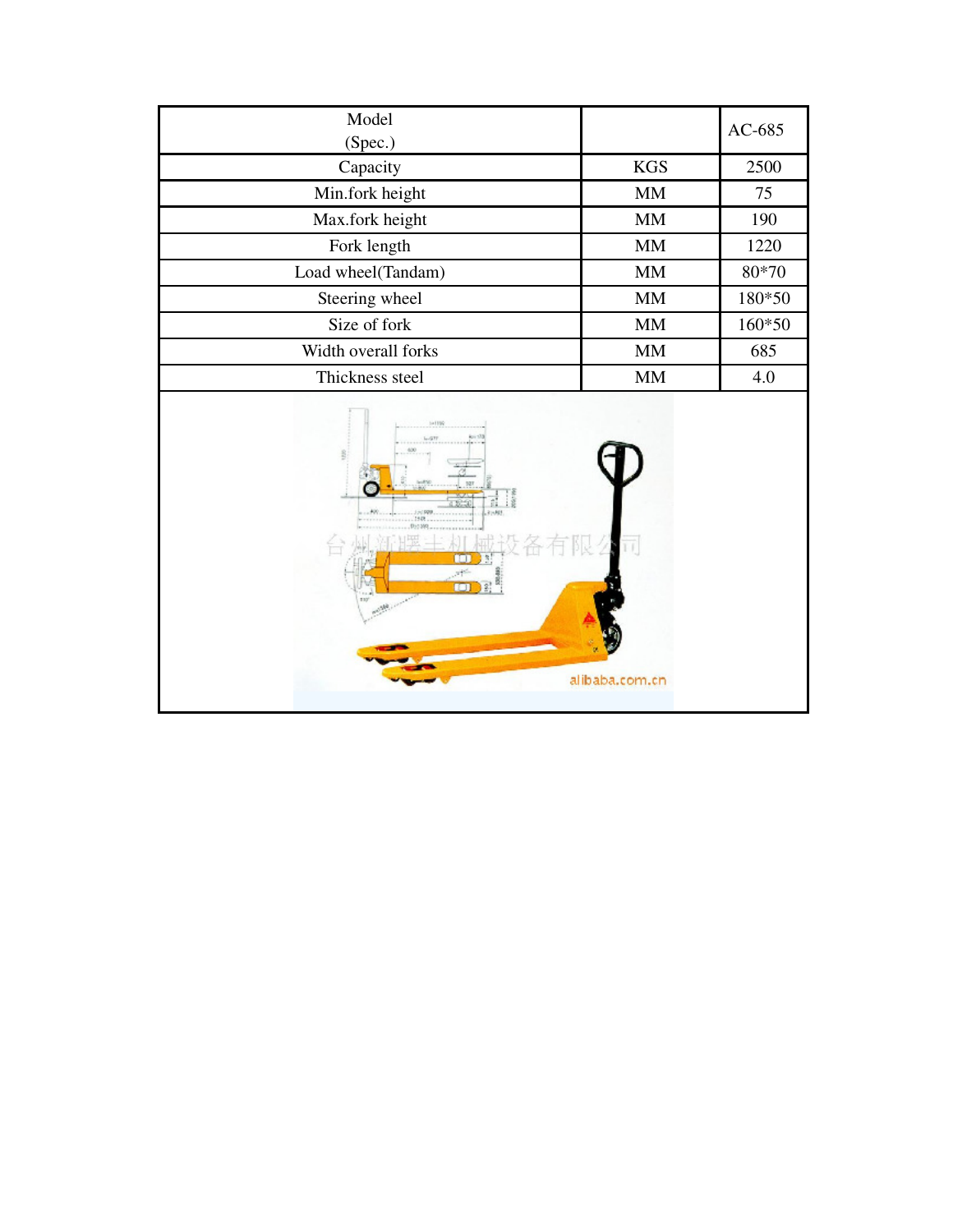| Model<br>(Spec.)               |                        | AC-685  |
|--------------------------------|------------------------|---------|
| Capacity                       | <b>KGS</b>             | 2500    |
| Min.fork height                | <b>MM</b>              | 75      |
| Max.fork height                | $\mbox{MM}$            | 190     |
| Fork length                    | MM                     | 1220    |
| Load wheel(Tandam)             | $\text{MM}{}$          | $80*70$ |
| Steering wheel                 | MM                     | 180*50  |
| Size of fork                   | $\mbox{MM}$            | 160*50  |
| Width overall forks            | $\mbox{MM}$            | 685     |
| Thickness steel                | $\mathbf{M}\mathbf{M}$ | 4.0     |
| 141199<br>$-1000$<br>1949<br>m | alibaba.com.cn         |         |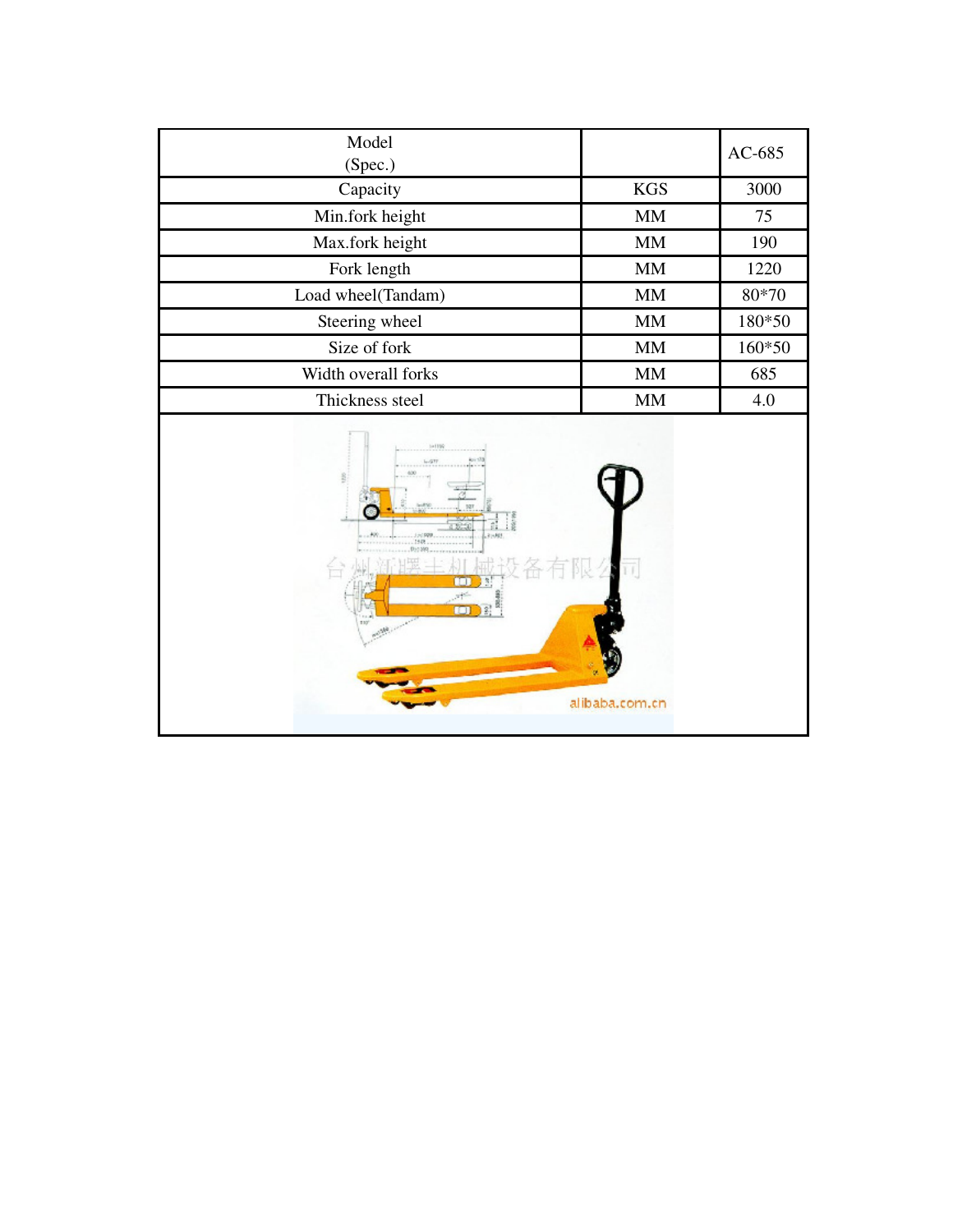| Model<br>(Spec.)                                                    |               | AC-685 |
|---------------------------------------------------------------------|---------------|--------|
| Capacity                                                            | <b>KGS</b>    | 3000   |
| Min.fork height                                                     | MM            | 75     |
| Max.fork height                                                     | MM            | 190    |
| Fork length                                                         | <b>MM</b>     | 1220   |
| Load wheel(Tandam)                                                  | $\text{MM}{}$ | 80*70  |
| Steering wheel                                                      | $\text{MM}{}$ | 180*50 |
| Size of fork                                                        | $\mbox{MM}$   | 160*50 |
| Width overall forks                                                 | $\mbox{MM}$   | 685    |
| Thickness steel                                                     | MM            | 4.0    |
| 141199<br>$1 - 977$<br>214,823<br>米<br><b>FED</b><br>Million of the |               |        |

alibaba.com.cn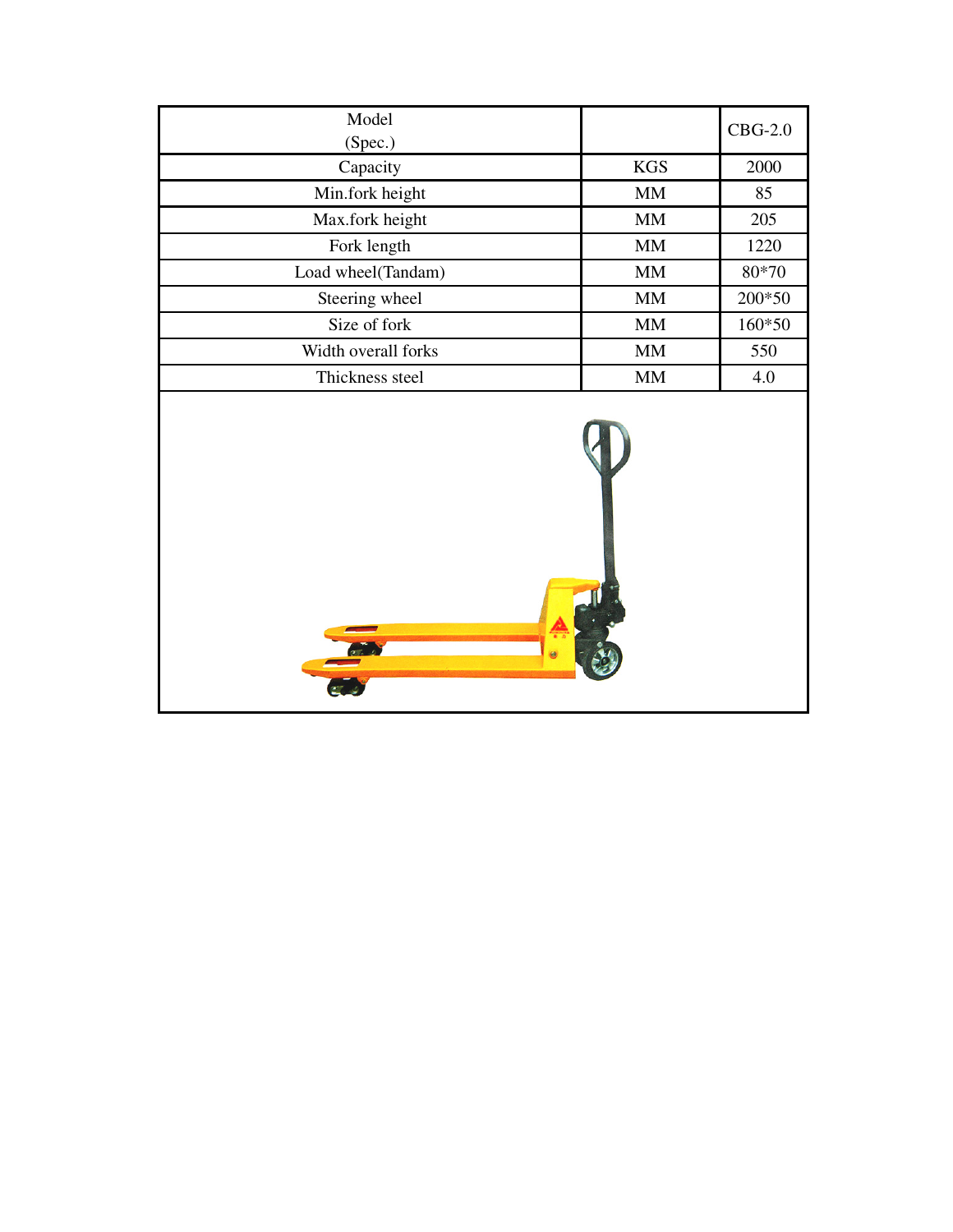| Model<br>(Spec.)    |               | $CBG-2.0$ |
|---------------------|---------------|-----------|
| Capacity            | <b>KGS</b>    | 2000      |
| Min.fork height     | MM            | 85        |
| Max.fork height     | MM            | 205       |
| Fork length         | $\text{MM}{}$ | 1220      |
| Load wheel(Tandam)  | MM            | 80*70     |
| Steering wheel      | $\text{MM}{}$ | 200*50    |
| Size of fork        | $\text{MM}{}$ | 160*50    |
| Width overall forks | MM            | 550       |
| Thickness steel     | <b>MM</b>     | 4.0       |
|                     |               |           |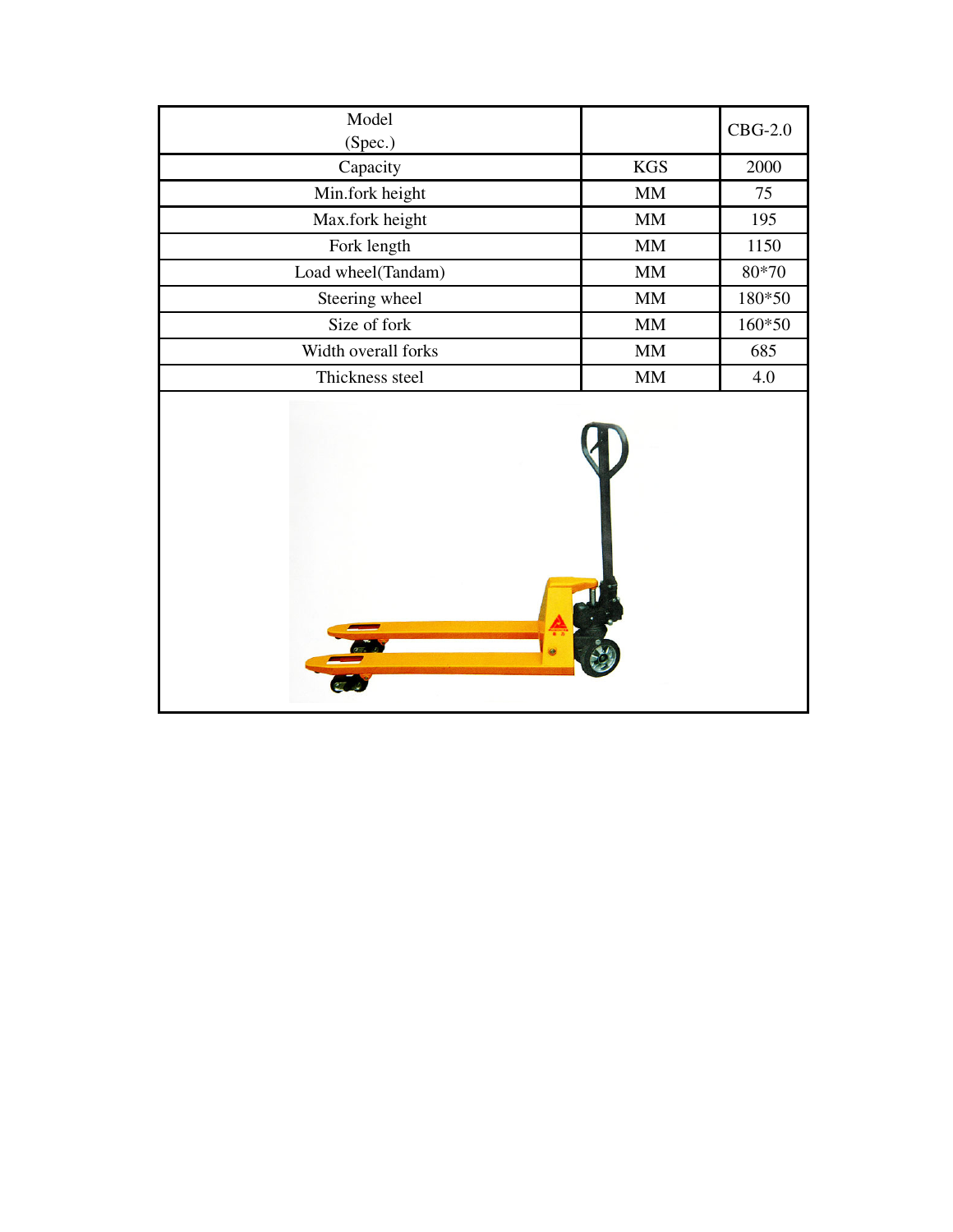| Model<br>(Spec.)    |             | $CBG-2.0$ |
|---------------------|-------------|-----------|
| Capacity            | <b>KGS</b>  | 2000      |
| Min.fork height     | $\mbox{MM}$ | 75        |
| Max.fork height     | $\mbox{MM}$ | 195       |
| Fork length         | $\mbox{MM}$ | 1150      |
| Load wheel(Tandam)  | MM          | 80*70     |
| Steering wheel      | $\text{MM}$ | 180*50    |
| Size of fork        | MM          | 160*50    |
| Width overall forks | $\mbox{MM}$ | 685       |
| Thickness steel     | $\mbox{MM}$ | 4.0       |
|                     |             |           |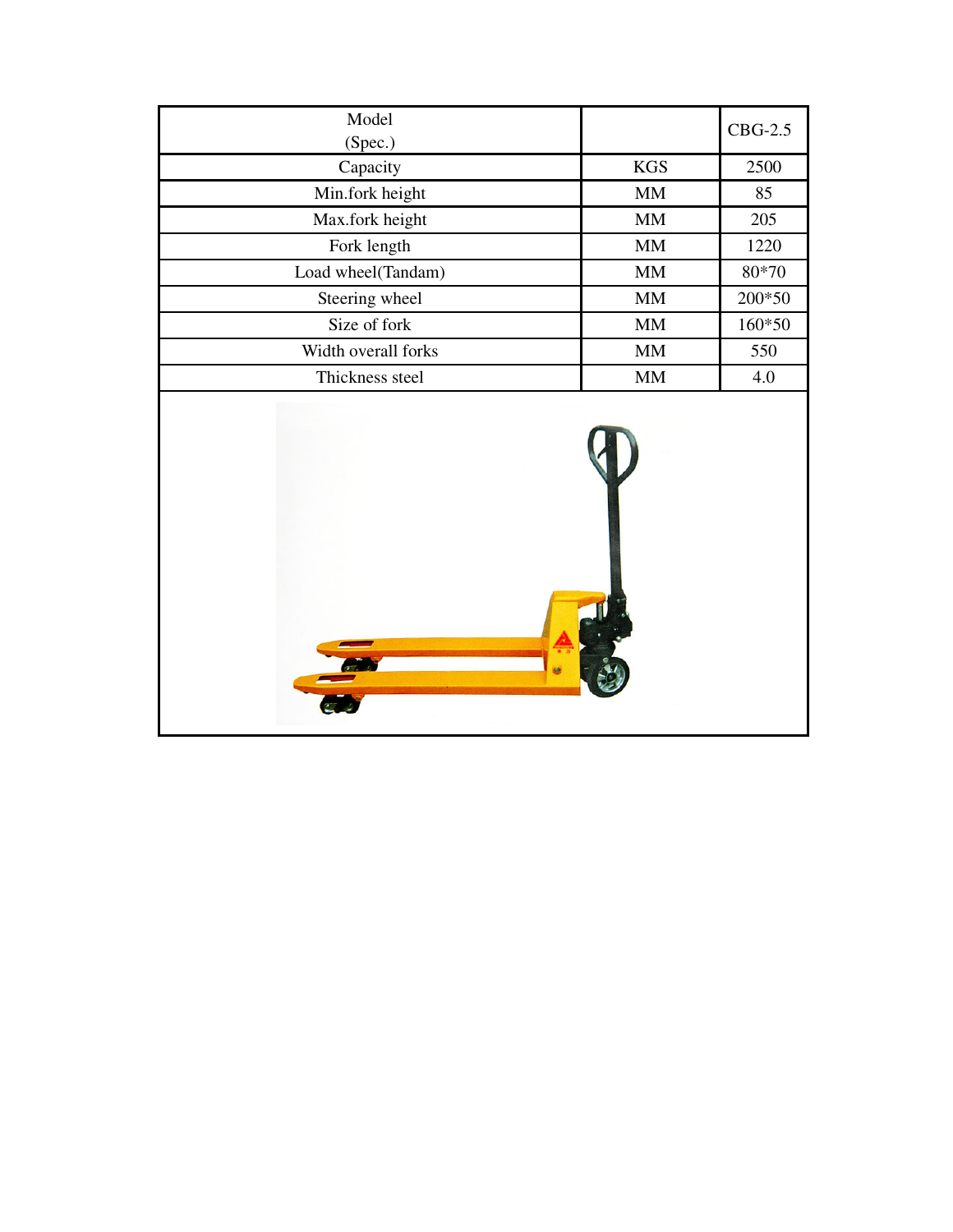| Model<br>(Spec.)    |                   | $CBG-2.5$ |
|---------------------|-------------------|-----------|
| Capacity            | <b>KGS</b>        | 2500      |
| Min.fork height     | $\text{MM}{}$     | 85        |
| Max.fork height     | <b>MM</b>         | 205       |
| Fork length         | $\mathop{\rm MM}$ | 1220      |
| Load wheel(Tandam)  | $\mbox{MM}$       | 80*70     |
| Steering wheel      | <b>MM</b>         | $200*50$  |
| Size of fork        | $\text{MM}{}$     | 160*50    |
| Width overall forks | $\mbox{MM}$       | 550       |
| Thickness steel     | <b>MM</b>         | 4.0       |
| $\sigma$            |                   |           |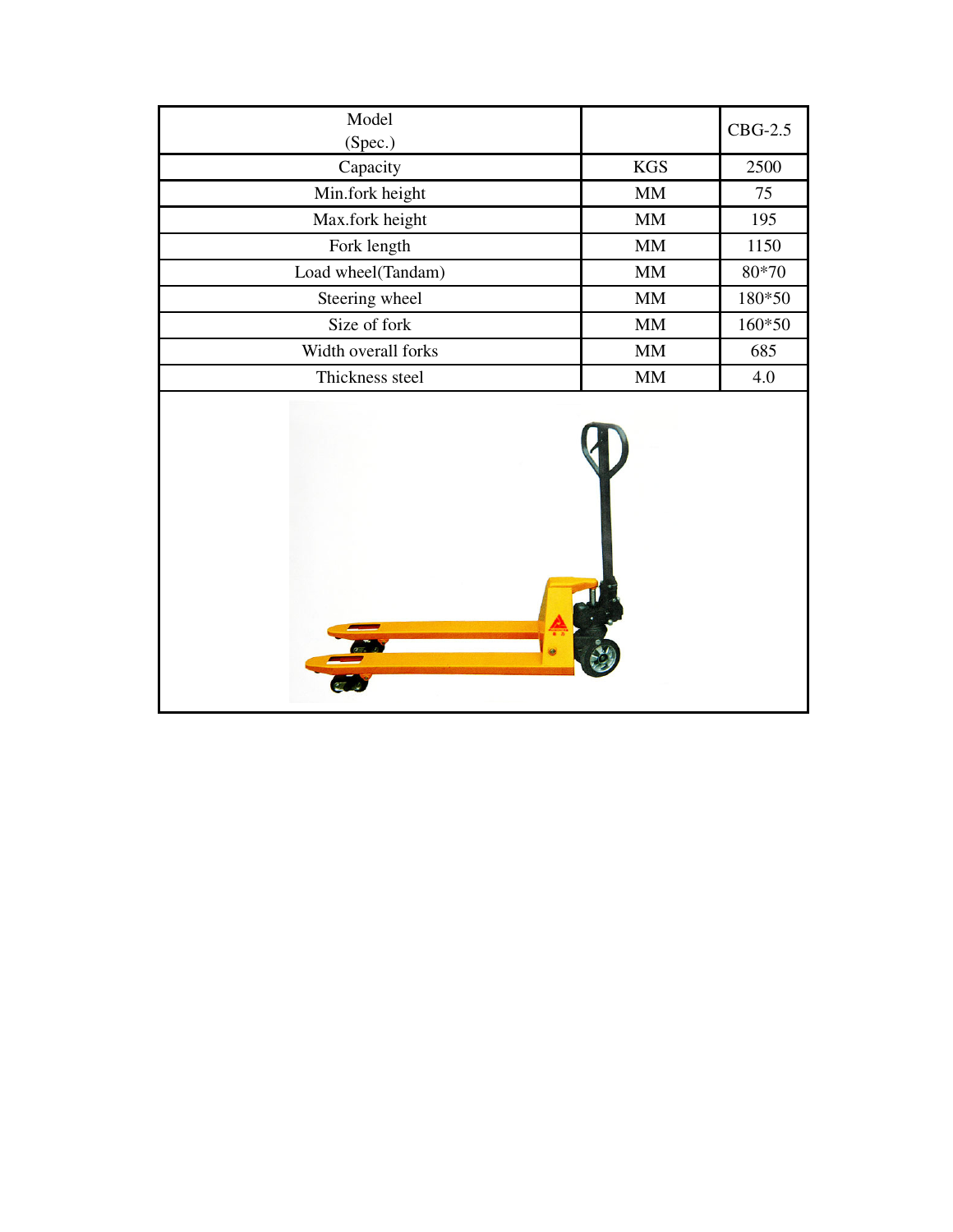| Model<br>(Spec.)    |             | $CBG-2.5$ |
|---------------------|-------------|-----------|
| Capacity            | KGS         | 2500      |
| Min.fork height     | $\mbox{MM}$ | 75        |
| Max.fork height     | MM          | 195       |
| Fork length         | $\mbox{MM}$ | 1150      |
| Load wheel(Tandam)  | MM          | 80*70     |
| Steering wheel      | $\mbox{MM}$ | 180*50    |
| Size of fork        | MM          | 160*50    |
| Width overall forks | <b>MM</b>   | 685       |
| Thickness steel     | $\mbox{MM}$ | 4.0       |
|                     |             |           |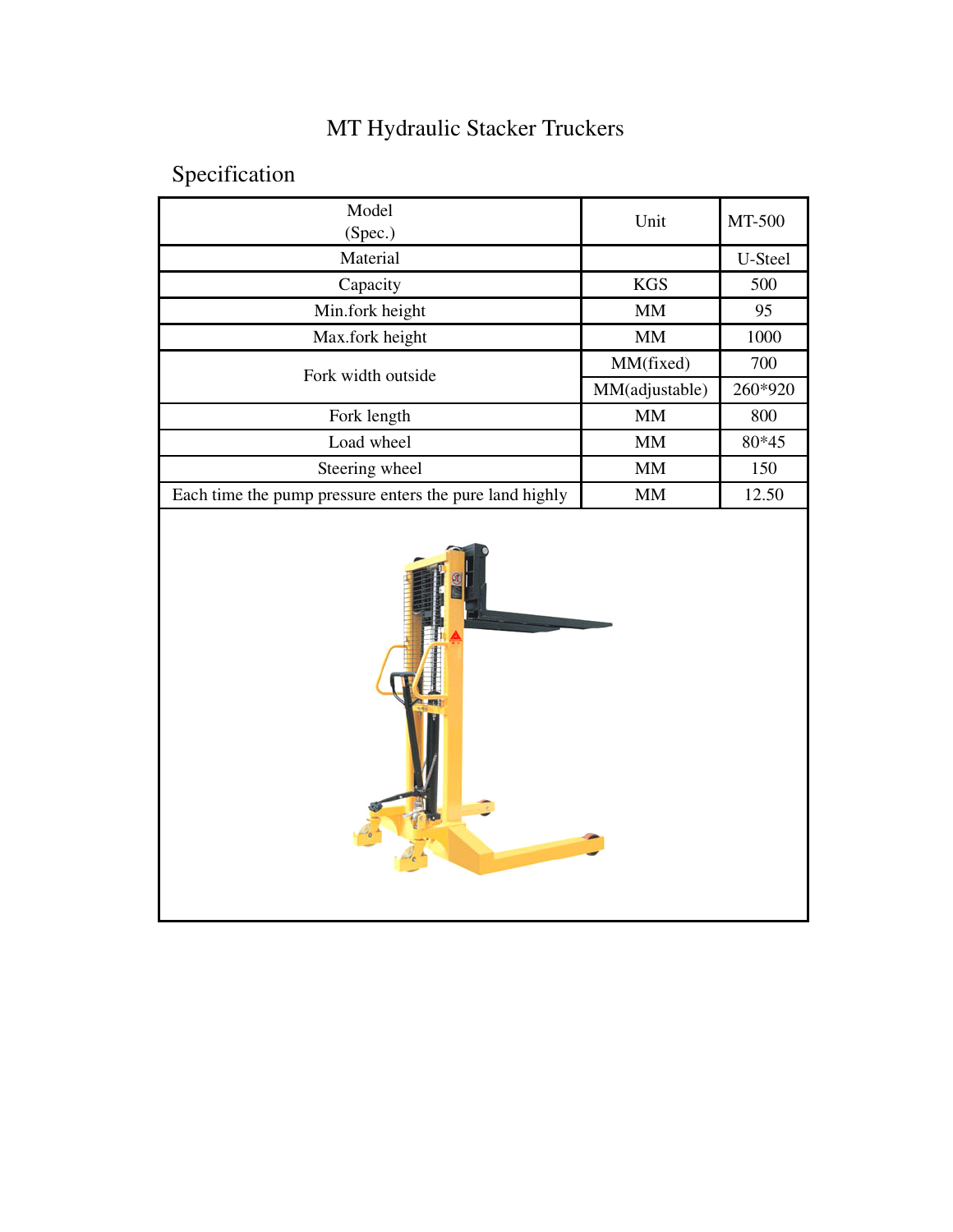## MT Hydraulic Stacker Truckers

## Specification

| Model<br>(Spec.)                                        | Unit              | MT-500  |
|---------------------------------------------------------|-------------------|---------|
| Material                                                |                   | U-Steel |
| Capacity                                                | <b>KGS</b>        | 500     |
| Min.fork height                                         | $\text{MM}$       | 95      |
| Max.fork height                                         | $\mathop{\rm MM}$ | 1000    |
| Fork width outside                                      | MM(fixed)         | 700     |
|                                                         | MM(adjustable)    | 260*920 |
| Fork length                                             | $\mbox{MM}$       | 800     |
| Load wheel                                              | $\mbox{MM}$       | 80*45   |
| Steering wheel                                          | $\mathop{\rm MM}$ | 150     |
| Each time the pump pressure enters the pure land highly | $\mbox{MM}$       | 12.50   |
|                                                         |                   |         |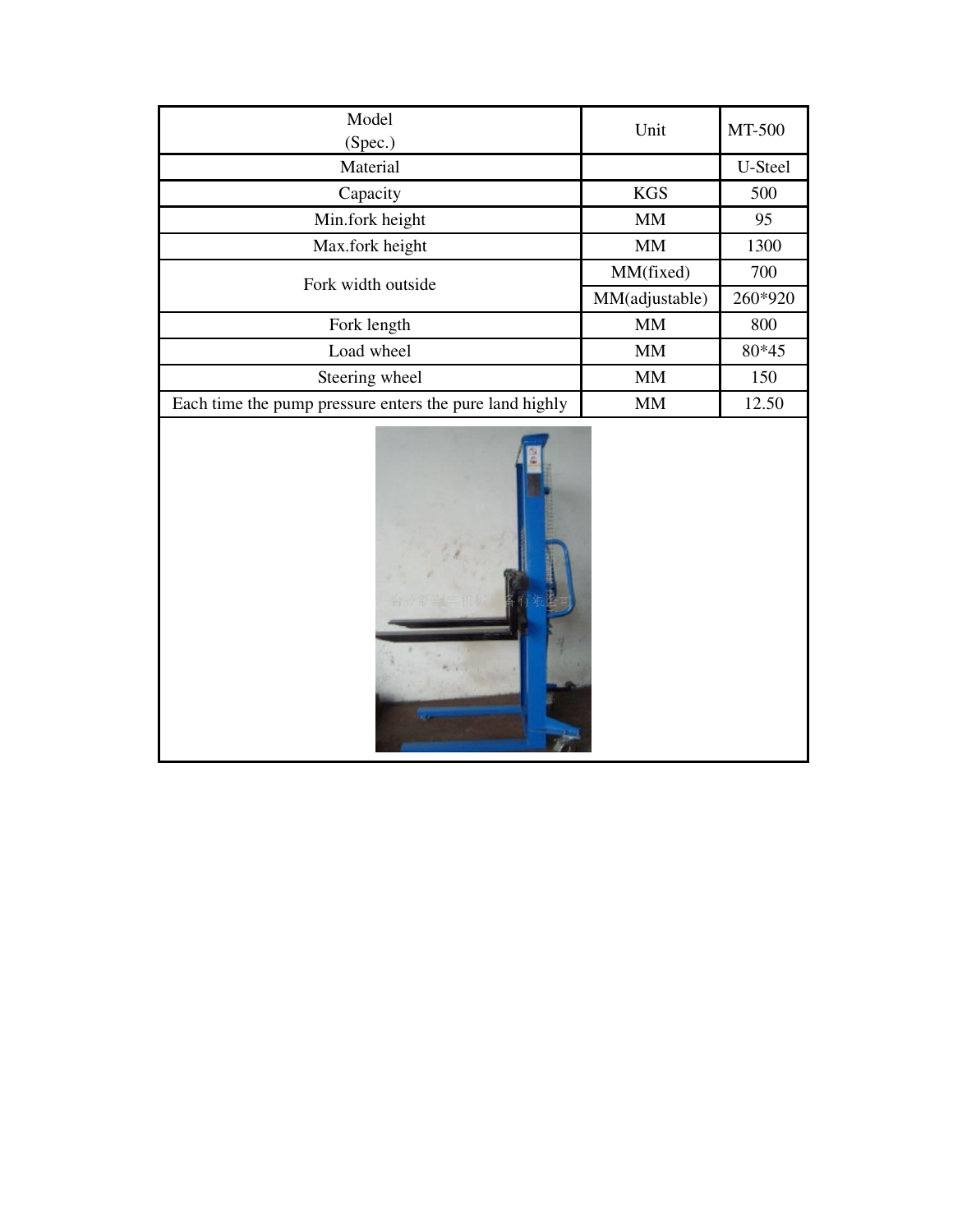| Model<br>(Spec.)                                        | Unit           | MT-500  |
|---------------------------------------------------------|----------------|---------|
| Material                                                |                | U-Steel |
| Capacity                                                | <b>KGS</b>     | 500     |
| Min.fork height                                         | MM             | 95      |
| Max.fork height                                         | MM             | 1300    |
| Fork width outside                                      | MM(fixed)      | 700     |
|                                                         | MM(adjustable) | 260*920 |
| Fork length                                             | <b>MM</b>      | 800     |
| Load wheel                                              | <b>MM</b>      | 80*45   |
| Steering wheel                                          | MM             | 150     |
| Each time the pump pressure enters the pure land highly | MM             | 12.50   |

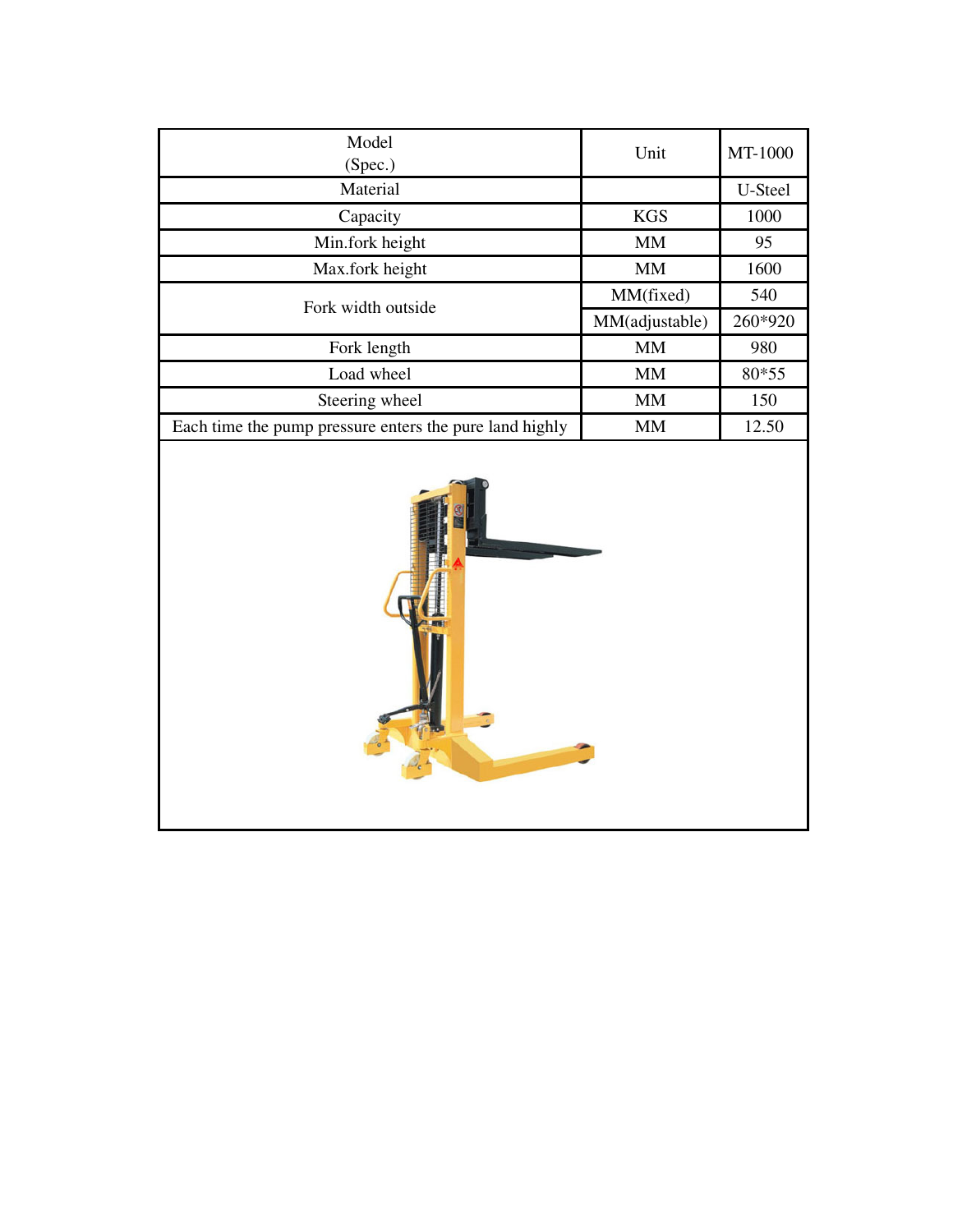| Model<br>(Spec.)                                        | Unit           | MT-1000 |
|---------------------------------------------------------|----------------|---------|
| Material                                                |                | U-Steel |
| Capacity                                                | <b>KGS</b>     | 1000    |
| Min.fork height                                         | MМ             | 95      |
| Max.fork height                                         | <b>MM</b>      | 1600    |
| Fork width outside                                      | MM(fixed)      | 540     |
|                                                         | MM(adjustable) | 260*920 |
| Fork length                                             | <b>MM</b>      | 980     |
| Load wheel                                              | <b>MM</b>      | 80*55   |
| Steering wheel                                          | <b>MM</b>      | 150     |
| Each time the pump pressure enters the pure land highly | <b>MM</b>      | 12.50   |

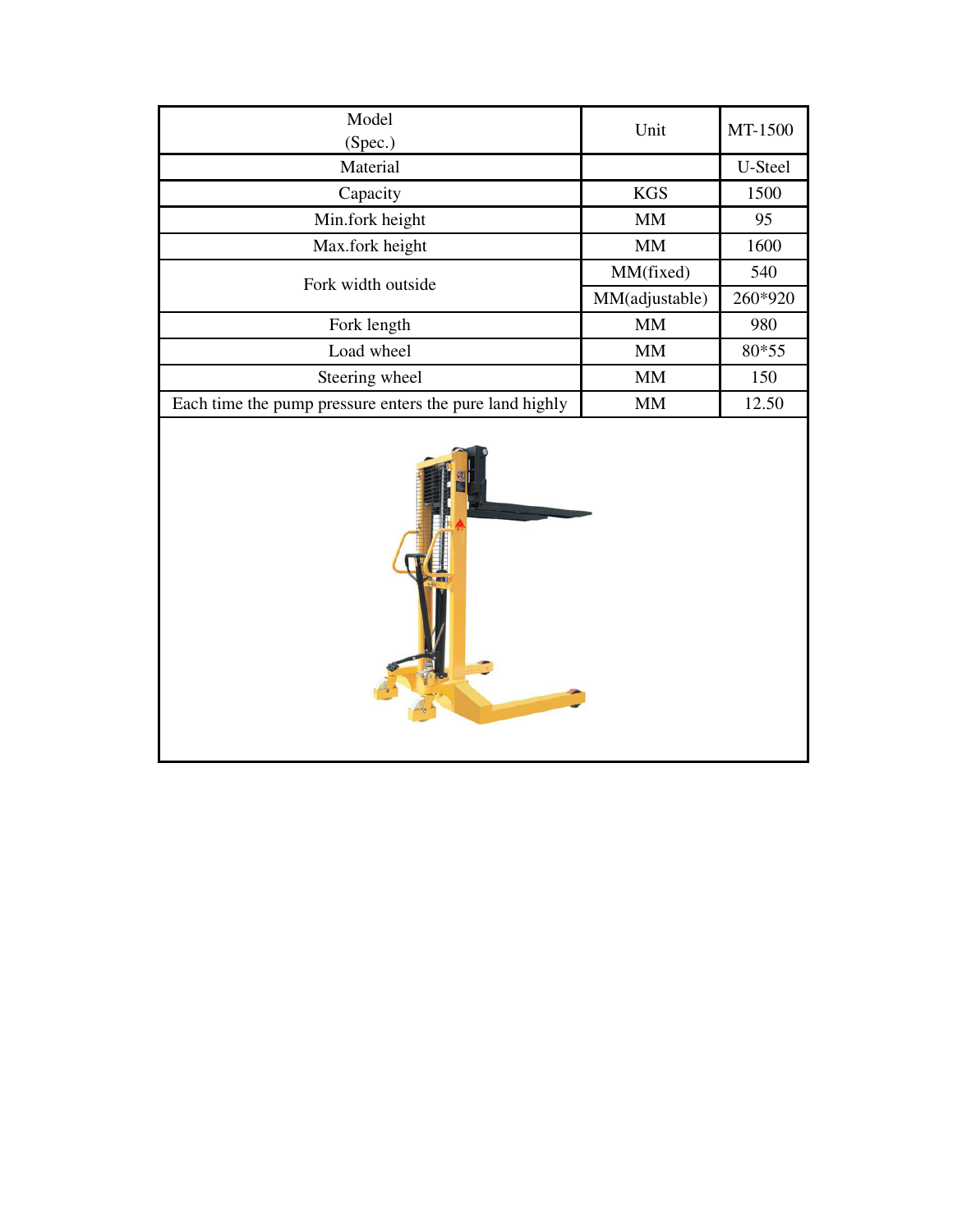| Model<br>(Spec.)                                        | Unit           | MT-1500 |
|---------------------------------------------------------|----------------|---------|
| Material                                                |                | U-Steel |
| Capacity                                                | <b>KGS</b>     | 1500    |
| Min.fork height                                         | <b>MM</b>      | 95      |
| Max.fork height                                         | <b>MM</b>      | 1600    |
| Fork width outside                                      | MM(fixed)      | 540     |
|                                                         | MM(adjustable) | 260*920 |
| Fork length                                             | <b>MM</b>      | 980     |
| Load wheel                                              | <b>MM</b>      | 80*55   |
| Steering wheel                                          | <b>MM</b>      | 150     |
| Each time the pump pressure enters the pure land highly | MМ             | 12.50   |

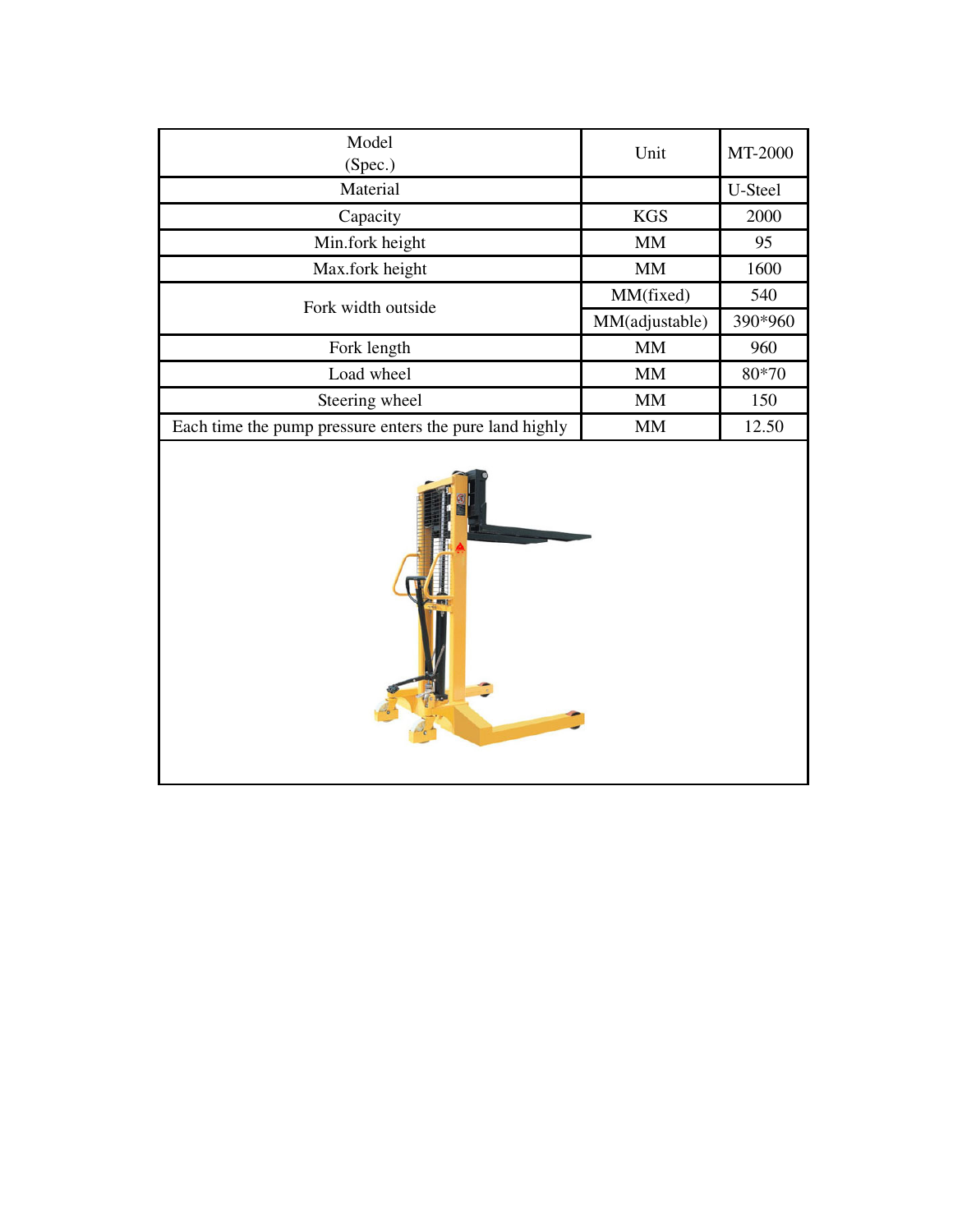| Model<br>(Spec.)                                        | Unit           | MT-2000 |
|---------------------------------------------------------|----------------|---------|
| Material                                                |                | U-Steel |
| Capacity                                                | <b>KGS</b>     | 2000    |
| Min.fork height                                         | <b>MM</b>      | 95      |
| Max.fork height                                         | MM             | 1600    |
| Fork width outside                                      | MM(fixed)      | 540     |
|                                                         | MM(adjustable) | 390*960 |
| Fork length                                             | <b>MM</b>      | 960     |
| Load wheel                                              | <b>MM</b>      | 80*70   |
| Steering wheel                                          | <b>MM</b>      | 150     |
| Each time the pump pressure enters the pure land highly | <b>MM</b>      | 12.50   |

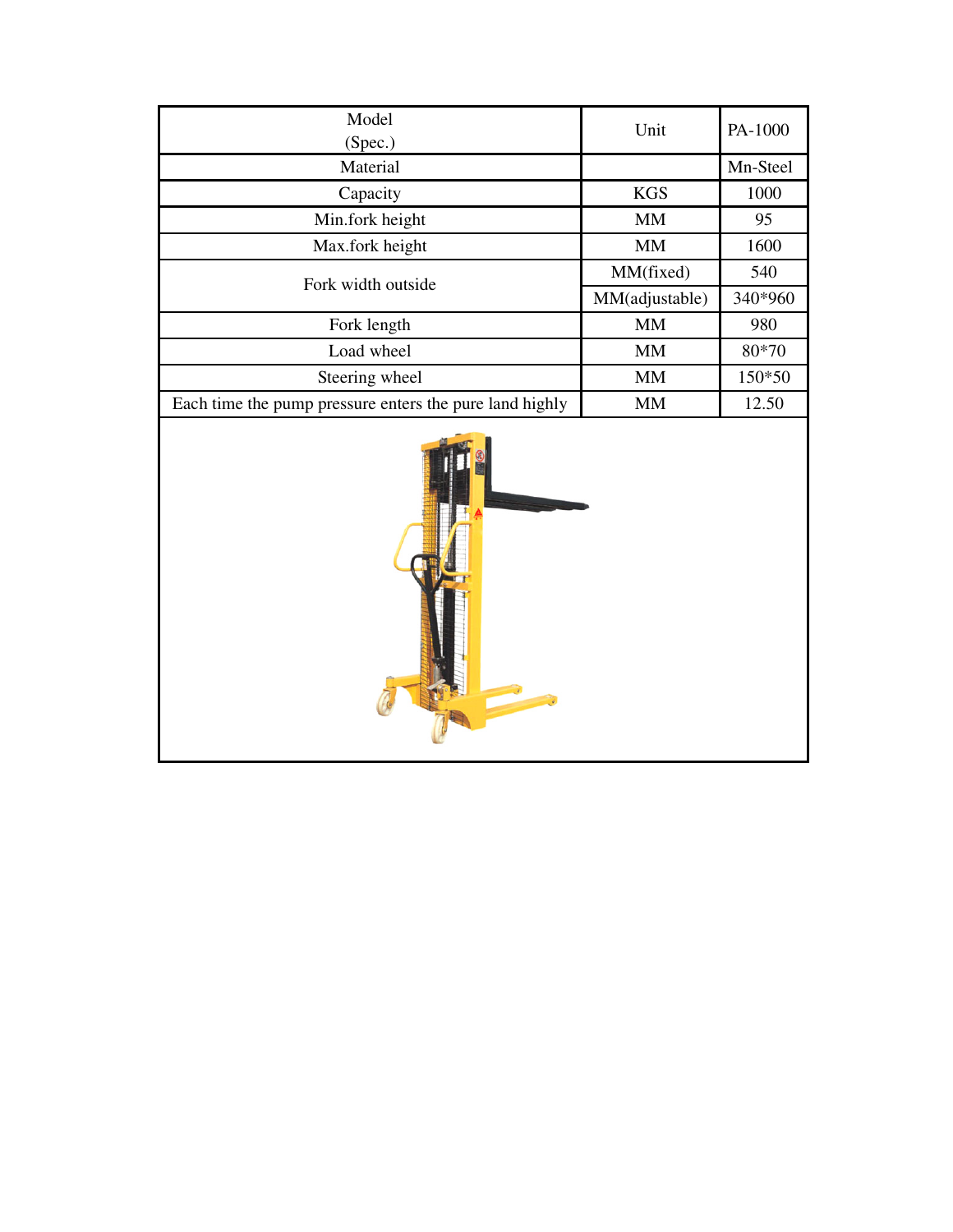| Model<br>(Spec.)                                        | Unit           | PA-1000  |
|---------------------------------------------------------|----------------|----------|
| Material                                                |                | Mn-Steel |
| Capacity                                                | <b>KGS</b>     | 1000     |
| Min.fork height                                         | MM             | 95       |
| Max.fork height                                         | <b>MM</b>      | 1600     |
| Fork width outside                                      | MM(fixed)      | 540      |
|                                                         | MM(adjustable) | 340*960  |
| Fork length                                             | MM             | 980      |
| Load wheel                                              | <b>MM</b>      | 80*70    |
| Steering wheel                                          | MM             | 150*50   |
| Each time the pump pressure enters the pure land highly | MМ             | 12.50    |

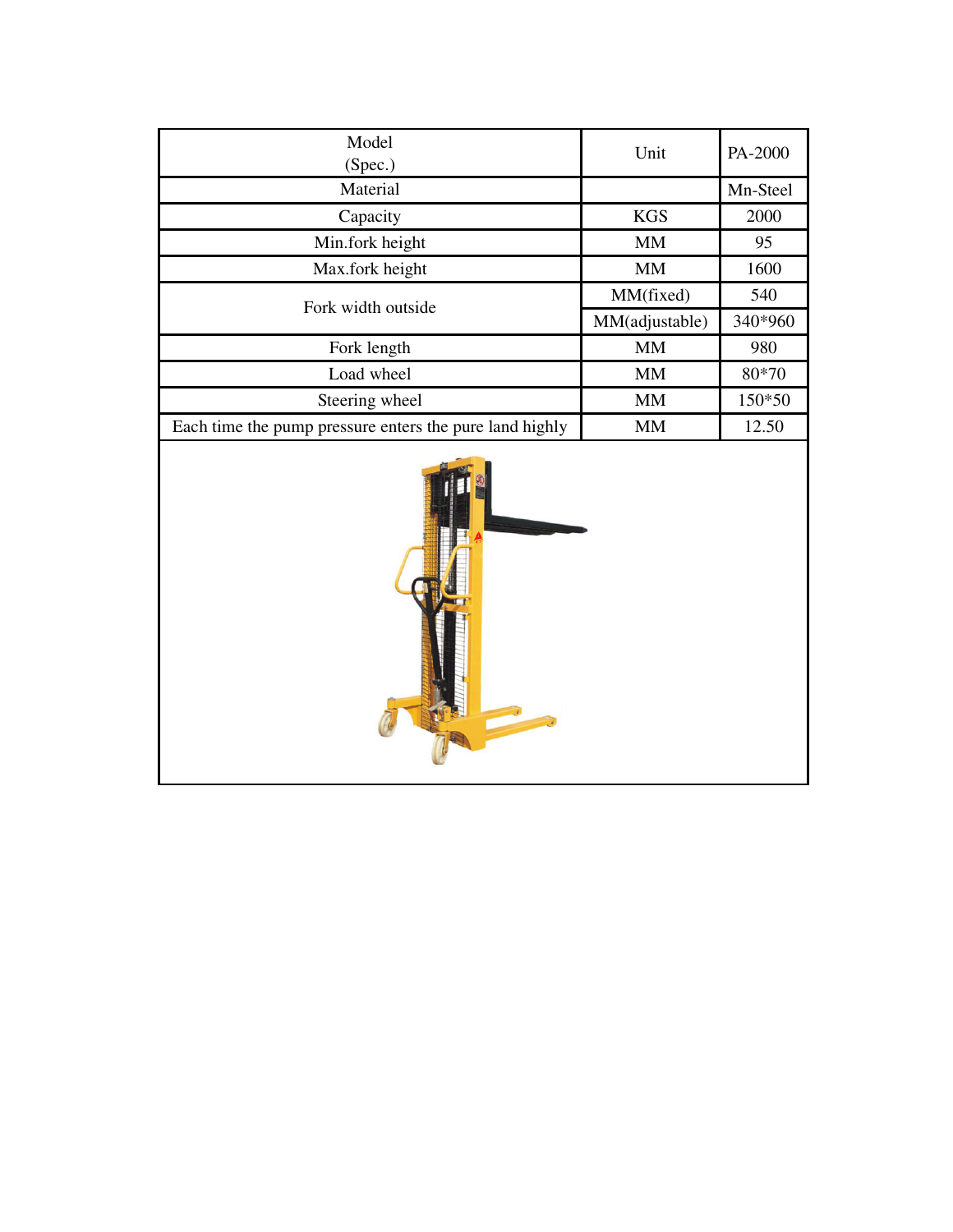| Model<br>(Spec.)                                        | Unit           | PA-2000  |
|---------------------------------------------------------|----------------|----------|
| Material                                                |                | Mn-Steel |
| Capacity                                                | <b>KGS</b>     | 2000     |
| Min.fork height                                         | MM             | 95       |
| Max.fork height                                         | <b>MM</b>      | 1600     |
| Fork width outside                                      | MM(fixed)      | 540      |
|                                                         | MM(adjustable) | 340*960  |
| Fork length                                             | <b>MM</b>      | 980      |
| Load wheel                                              | MM             | 80*70    |
| Steering wheel                                          | <b>MM</b>      | 150*50   |
| Each time the pump pressure enters the pure land highly | <b>MM</b>      | 12.50    |

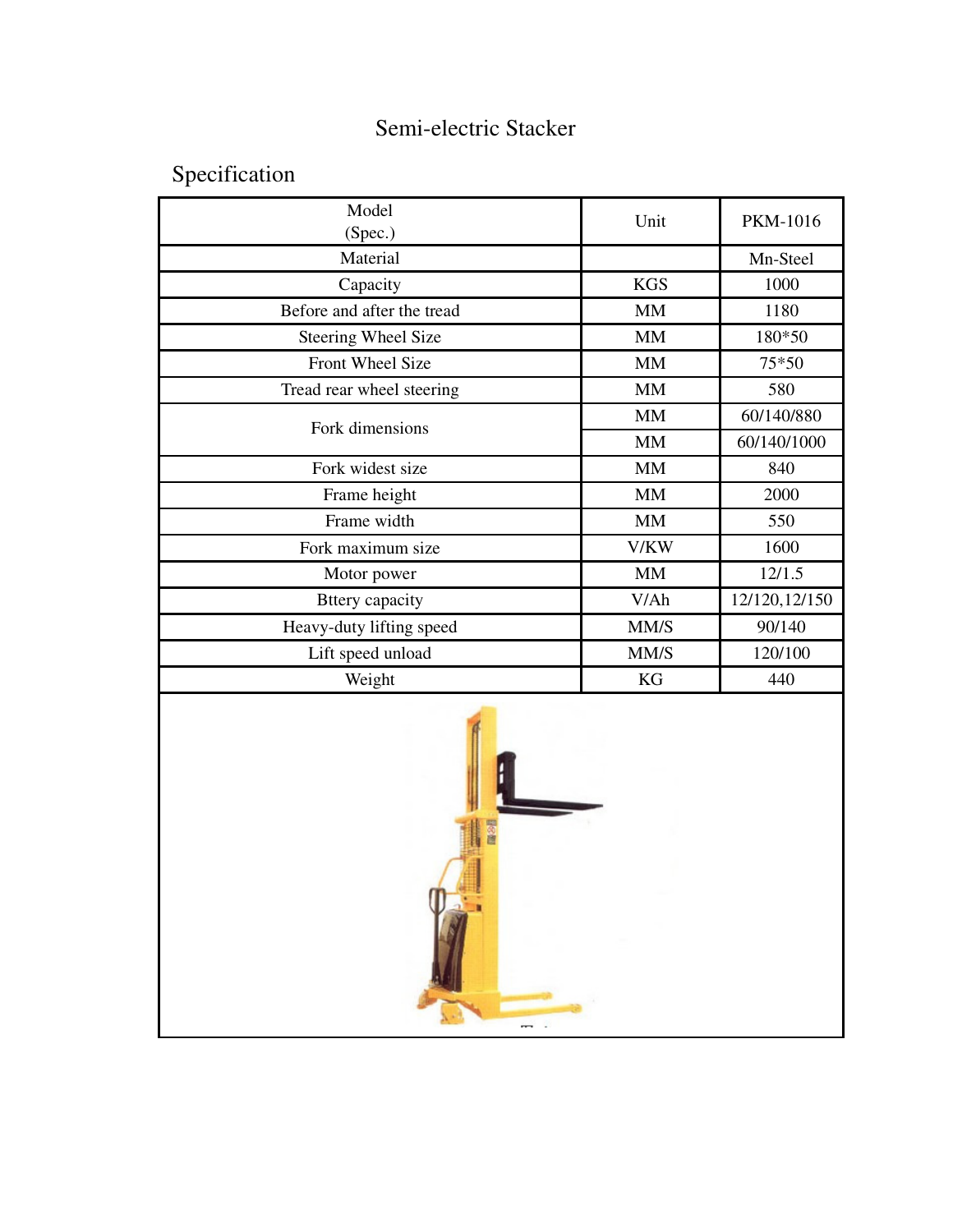## Semi-electric Stacker

Specification

| Model<br>(Spec.)           | Unit       | <b>PKM-1016</b> |
|----------------------------|------------|-----------------|
| Material                   |            | Mn-Steel        |
| Capacity                   | <b>KGS</b> | 1000            |
| Before and after the tread | <b>MM</b>  | 1180            |
| <b>Steering Wheel Size</b> | <b>MM</b>  | 180*50          |
| Front Wheel Size           | <b>MM</b>  | 75*50           |
| Tread rear wheel steering  | MM         | 580             |
| Fork dimensions            | MM         | 60/140/880      |
|                            | <b>MM</b>  | 60/140/1000     |
| Fork widest size           | <b>MM</b>  | 840             |
| Frame height               | MM         | 2000            |
| Frame width                | MM         | 550             |
| Fork maximum size          | V/KW       | 1600            |
| Motor power                | <b>MM</b>  | 12/1.5          |
| <b>Bttery</b> capacity     | V/Ah       | 12/120, 12/150  |
| Heavy-duty lifting speed   | MM/S       | 90/140          |
| Lift speed unload          | MM/S       | 120/100         |
| Weight                     | KG         | 440             |
|                            |            |                 |

 $\overline{a}$ .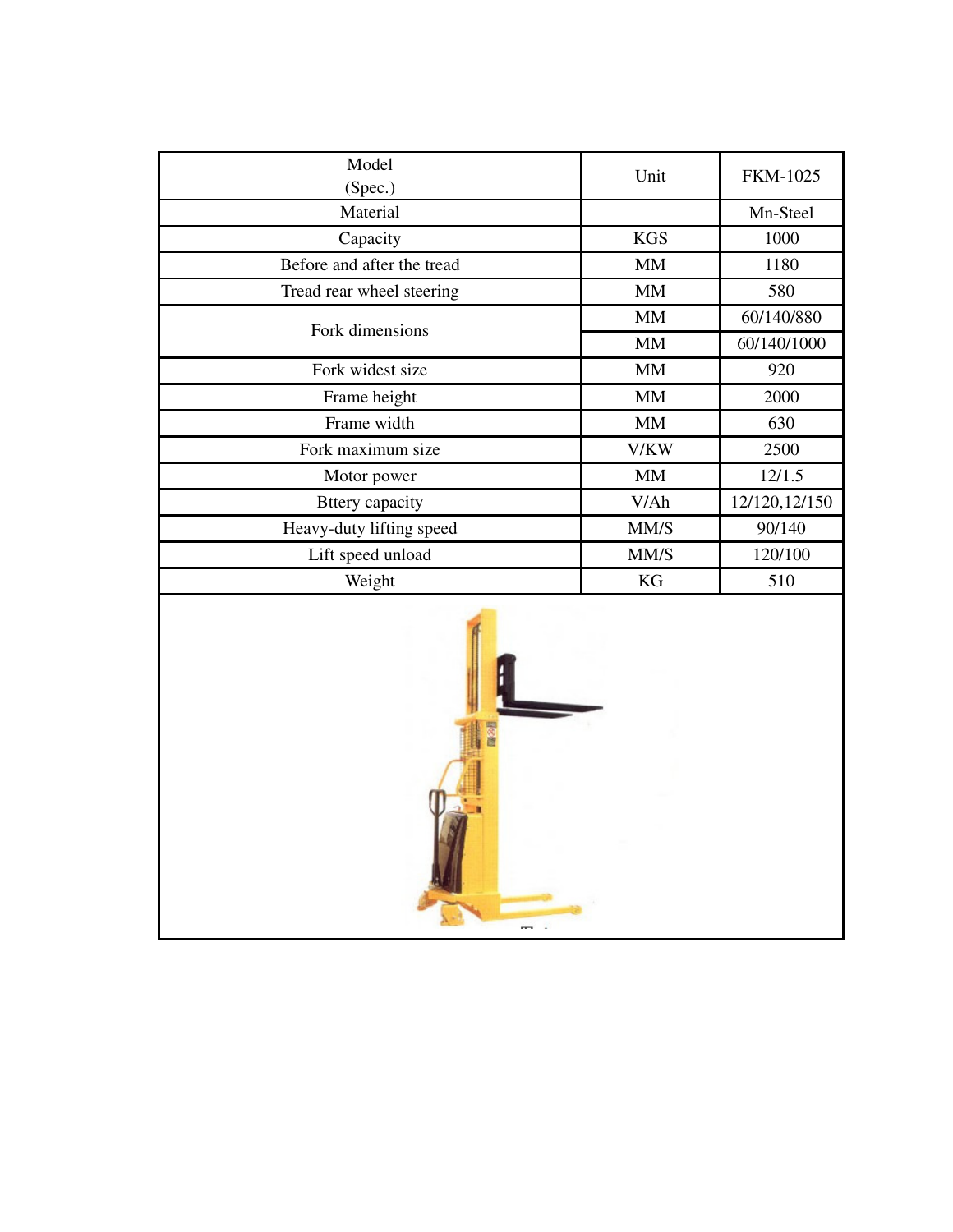| Model<br>(Spec.)           | Unit        | <b>FKM-1025</b> |
|----------------------------|-------------|-----------------|
| Material                   |             | Mn-Steel        |
| Capacity                   | <b>KGS</b>  | 1000            |
| Before and after the tread | MM          | 1180            |
| Tread rear wheel steering  | MM          | 580             |
| Fork dimensions            | MM          | 60/140/880      |
|                            | <b>MM</b>   | 60/140/1000     |
| Fork widest size           | $\mbox{MM}$ | 920             |
| Frame height               | $\text{MM}$ | 2000            |
| Frame width                | $\mbox{MM}$ | 630             |
| Fork maximum size          | V/KW        | 2500            |
| Motor power                | MM          | 12/1.5          |
| <b>Bttery</b> capacity     | V/Ah        | 12/120, 12/150  |
| Heavy-duty lifting speed   | MM/S        | 90/140          |
| Lift speed unload          | MM/S        | 120/100         |
| Weight                     | KG          | 510             |
|                            |             |                 |